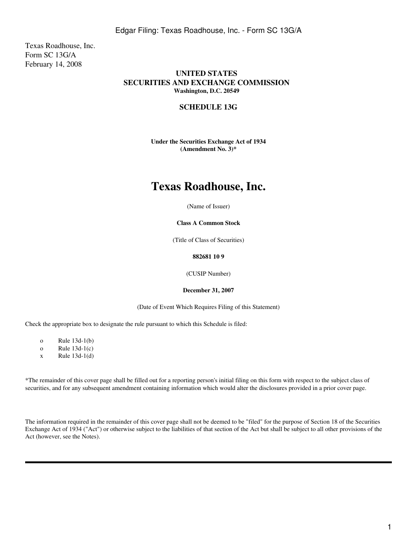Texas Roadhouse, Inc. Form SC 13G/A February 14, 2008

# **UNITED STATES SECURITIES AND EXCHANGE COMMISSION Washington, D.C. 20549**

## **SCHEDULE 13G**

**Under the Securities Exchange Act of 1934 (Amendment No. 3)\***

# **Texas Roadhouse, Inc.**

(Name of Issuer)

**Class A Common Stock**

(Title of Class of Securities)

#### **882681 10 9**

(CUSIP Number)

#### **December 31, 2007**

(Date of Event Which Requires Filing of this Statement)

Check the appropriate box to designate the rule pursuant to which this Schedule is filed:

o Rule 13d-1(b)

o Rule 13d-1(c)

 $x$  Rule 13d-1(d)

\*The remainder of this cover page shall be filled out for a reporting person's initial filing on this form with respect to the subject class of securities, and for any subsequent amendment containing information which would alter the disclosures provided in a prior cover page.

The information required in the remainder of this cover page shall not be deemed to be "filed" for the purpose of Section 18 of the Securities Exchange Act of 1934 ("Act") or otherwise subject to the liabilities of that section of the Act but shall be subject to all other provisions of the Act (however, see the Notes).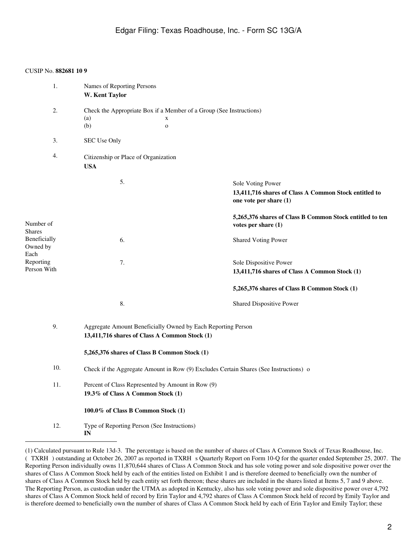| 1.                                        | Names of Reporting Persons<br>W. Kent Taylor                                                                  |                                                                                                      |
|-------------------------------------------|---------------------------------------------------------------------------------------------------------------|------------------------------------------------------------------------------------------------------|
| 2.                                        | Check the Appropriate Box if a Member of a Group (See Instructions)<br>(a)<br>X<br>(b)<br>$\mathbf{o}$        |                                                                                                      |
| 3.                                        | SEC Use Only                                                                                                  |                                                                                                      |
| 4.                                        | Citizenship or Place of Organization<br><b>USA</b>                                                            |                                                                                                      |
|                                           | 5.                                                                                                            | Sole Voting Power<br>13,411,716 shares of Class A Common Stock entitled to<br>one vote per share (1) |
| Number of                                 |                                                                                                               | 5,265,376 shares of Class B Common Stock entitled to ten<br>votes per share $(1)$                    |
| <b>Shares</b><br>Beneficially<br>Owned by | 6.                                                                                                            | <b>Shared Voting Power</b>                                                                           |
| Each<br>Reporting<br>Person With          | 7.                                                                                                            | Sole Dispositive Power<br>13,411,716 shares of Class A Common Stock (1)                              |
|                                           |                                                                                                               | 5,265,376 shares of Class B Common Stock (1)                                                         |
|                                           | 8.                                                                                                            | <b>Shared Dispositive Power</b>                                                                      |
| 9.                                        | Aggregate Amount Beneficially Owned by Each Reporting Person<br>13,411,716 shares of Class A Common Stock (1) |                                                                                                      |
|                                           | 5,265,376 shares of Class B Common Stock (1)                                                                  |                                                                                                      |
| 10.                                       | Check if the Aggregate Amount in Row (9) Excludes Certain Shares (See Instructions) o                         |                                                                                                      |
| 11.                                       | Percent of Class Represented by Amount in Row (9)<br>19.3% of Class A Common Stock (1)                        |                                                                                                      |
|                                           | $100.0\%$ of Class B Common Stock $(1)$                                                                       |                                                                                                      |
| 12.                                       | Type of Reporting Person (See Instructions)<br>IN                                                             |                                                                                                      |

<sup>(1)</sup> Calculated pursuant to Rule 13d-3. The percentage is based on the number of shares of Class A Common Stock of Texas Roadhouse, Inc. (TXRH) outstanding at October 26, 2007 as reported in TXRH s Quarterly Report on Form 10-Q for the quarter ended September 25, 2007. The Reporting Person individually owns 11,870,644 shares of Class A Common Stock and has sole voting power and sole dispositive power over the shares of Class A Common Stock held by each of the entities listed on Exhibit 1 and is therefore deemed to beneficially own the number of shares of Class A Common Stock held by each entity set forth thereon; these shares are included in the shares listed at Items 5, 7 and 9 above. The Reporting Person, as custodian under the UTMA as adopted in Kentucky, also has sole voting power and sole dispositive power over 4,792 shares of Class A Common Stock held of record by Erin Taylor and 4,792 shares of Class A Common Stock held of record by Emily Taylor and is therefore deemed to beneficially own the number of shares of Class A Common Stock held by each of Erin Taylor and Emily Taylor; these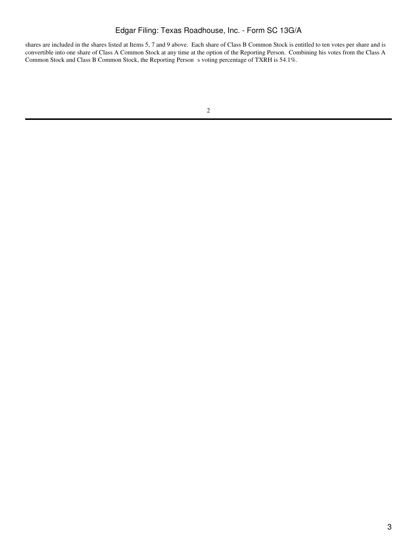# Edgar Filing: Texas Roadhouse, Inc. - Form SC 13G/A

shares are included in the shares listed at Items 5, 7 and 9 above. Each share of Class B Common Stock is entitled to ten votes per share and is convertible into one share of Class A Common Stock at any time at the option of the Reporting Person. Combining his votes from the Class A Common Stock and Class B Common Stock, the Reporting Person s voting percentage of TXRH is 54.1%.

<sup>2</sup>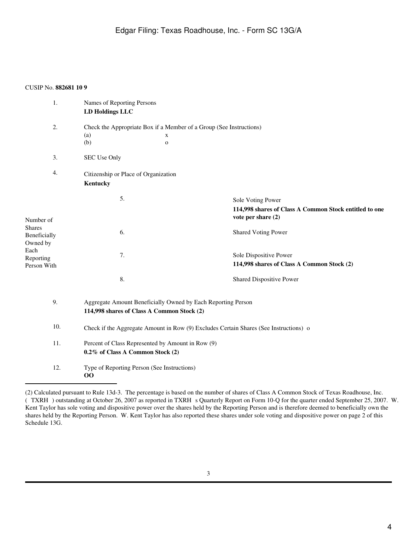| 1.               | Names of Reporting Persons                                                            |                                                        |  |  |
|------------------|---------------------------------------------------------------------------------------|--------------------------------------------------------|--|--|
|                  | <b>LD Holdings LLC</b>                                                                |                                                        |  |  |
| 2.               | Check the Appropriate Box if a Member of a Group (See Instructions)                   |                                                        |  |  |
|                  | (a)<br>X                                                                              |                                                        |  |  |
|                  | (b)<br>$\mathbf{o}$                                                                   |                                                        |  |  |
| 3.               | SEC Use Only                                                                          |                                                        |  |  |
| 4.               | Citizenship or Place of Organization                                                  |                                                        |  |  |
|                  | Kentucky                                                                              |                                                        |  |  |
|                  | 5.                                                                                    | Sole Voting Power                                      |  |  |
|                  |                                                                                       | 114,998 shares of Class A Common Stock entitled to one |  |  |
| Number of        |                                                                                       | vote per share (2)                                     |  |  |
| <b>Shares</b>    | 6.                                                                                    | <b>Shared Voting Power</b>                             |  |  |
| Beneficially     |                                                                                       |                                                        |  |  |
| Owned by<br>Each |                                                                                       |                                                        |  |  |
| Reporting        | 7.                                                                                    | Sole Dispositive Power                                 |  |  |
| Person With      |                                                                                       | 114,998 shares of Class A Common Stock (2)             |  |  |
|                  | 8.                                                                                    | Shared Dispositive Power                               |  |  |
| 9.               | Aggregate Amount Beneficially Owned by Each Reporting Person                          |                                                        |  |  |
|                  | 114,998 shares of Class A Common Stock (2)                                            |                                                        |  |  |
| 10.              | Check if the Aggregate Amount in Row (9) Excludes Certain Shares (See Instructions) o |                                                        |  |  |
| 11.              | Percent of Class Represented by Amount in Row (9)                                     |                                                        |  |  |
|                  | 0.2% of Class A Common Stock (2)                                                      |                                                        |  |  |
| 12.              | Type of Reporting Person (See Instructions)                                           |                                                        |  |  |
|                  | 00                                                                                    |                                                        |  |  |

<sup>(2)</sup> Calculated pursuant to Rule 13d-3. The percentage is based on the number of shares of Class A Common Stock of Texas Roadhouse, Inc. (TXRH) outstanding at October 26, 2007 as reported in TXRH s Quarterly Report on Form 10-Q for the quarter ended September 25, 2007. W. Kent Taylor has sole voting and dispositive power over the shares held by the Reporting Person and is therefore deemed to beneficially own the shares held by the Reporting Person. W. Kent Taylor has also reported these shares under sole voting and dispositive power on page 2 of this Schedule 13G.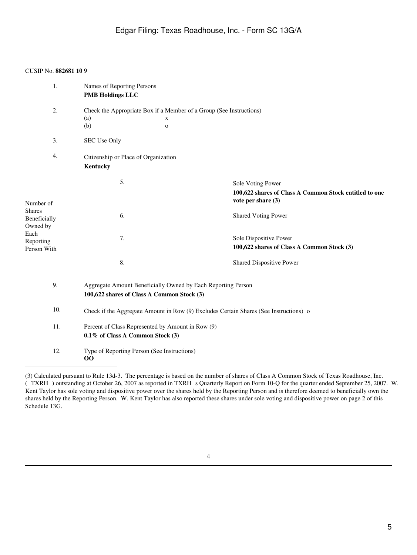| 1.                                                                                         | Names of Reporting Persons<br><b>PMB Holdings LLC</b>                                                      |                            |                                                                                                   |
|--------------------------------------------------------------------------------------------|------------------------------------------------------------------------------------------------------------|----------------------------|---------------------------------------------------------------------------------------------------|
| 2.                                                                                         | Check the Appropriate Box if a Member of a Group (See Instructions)<br>(a)<br>(b)                          | $\mathbf X$<br>$\mathbf 0$ |                                                                                                   |
| 3.                                                                                         | SEC Use Only                                                                                               |                            |                                                                                                   |
| 4.                                                                                         | Citizenship or Place of Organization<br>Kentucky                                                           |                            |                                                                                                   |
| Number of<br><b>Shares</b><br>Beneficially<br>Owned by<br>Each<br>Reporting<br>Person With | 5.                                                                                                         |                            | Sole Voting Power<br>100,622 shares of Class A Common Stock entitled to one<br>vote per share (3) |
|                                                                                            | 6.                                                                                                         |                            | <b>Shared Voting Power</b>                                                                        |
|                                                                                            | 7.                                                                                                         |                            | Sole Dispositive Power<br>100,622 shares of Class A Common Stock (3)                              |
|                                                                                            | 8.                                                                                                         |                            | Shared Dispositive Power                                                                          |
| 9.                                                                                         | Aggregate Amount Beneficially Owned by Each Reporting Person<br>100,622 shares of Class A Common Stock (3) |                            |                                                                                                   |
| 10.                                                                                        | Check if the Aggregate Amount in Row (9) Excludes Certain Shares (See Instructions) o                      |                            |                                                                                                   |
| 11.                                                                                        | Percent of Class Represented by Amount in Row (9)<br>0.1% of Class A Common Stock (3)                      |                            |                                                                                                   |
| 12.                                                                                        | Type of Reporting Person (See Instructions)<br>00                                                          |                            |                                                                                                   |

<sup>(3)</sup> Calculated pursuant to Rule 13d-3. The percentage is based on the number of shares of Class A Common Stock of Texas Roadhouse, Inc. (TXRH) outstanding at October 26, 2007 as reported in TXRH s Quarterly Report on Form 10-Q for the quarter ended September 25, 2007. W. Kent Taylor has sole voting and dispositive power over the shares held by the Reporting Person and is therefore deemed to beneficially own the shares held by the Reporting Person. W. Kent Taylor has also reported these shares under sole voting and dispositive power on page 2 of this Schedule 13G.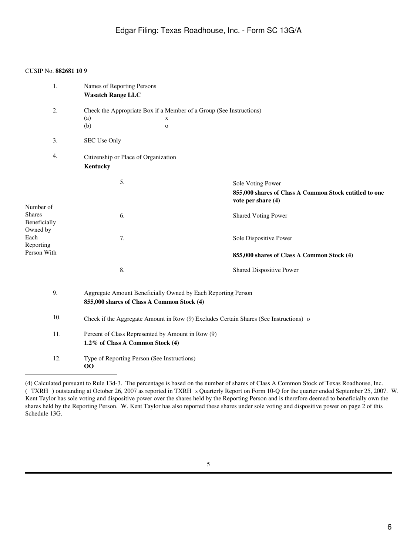| 1.                                                                                         | Names of Reporting Persons<br><b>Wasatch Range LLC</b>                                                          |                                                                                                   |  |
|--------------------------------------------------------------------------------------------|-----------------------------------------------------------------------------------------------------------------|---------------------------------------------------------------------------------------------------|--|
| 2.                                                                                         | Check the Appropriate Box if a Member of a Group (See Instructions)<br>(a)<br>$\mathbf X$<br>(b)<br>$\mathbf O$ |                                                                                                   |  |
| 3.                                                                                         | SEC Use Only                                                                                                    |                                                                                                   |  |
| 4.                                                                                         | Citizenship or Place of Organization<br>Kentucky                                                                |                                                                                                   |  |
| Number of<br><b>Shares</b><br>Beneficially<br>Owned by<br>Each<br>Reporting<br>Person With | 5.                                                                                                              | Sole Voting Power<br>855,000 shares of Class A Common Stock entitled to one<br>vote per share (4) |  |
|                                                                                            | 6.                                                                                                              | <b>Shared Voting Power</b>                                                                        |  |
|                                                                                            | 7.                                                                                                              | Sole Dispositive Power                                                                            |  |
|                                                                                            |                                                                                                                 | 855,000 shares of Class A Common Stock (4)                                                        |  |
|                                                                                            | 8.                                                                                                              | Shared Dispositive Power                                                                          |  |
| 9.                                                                                         | Aggregate Amount Beneficially Owned by Each Reporting Person<br>855,000 shares of Class A Common Stock (4)      |                                                                                                   |  |
| 10.                                                                                        | Check if the Aggregate Amount in Row (9) Excludes Certain Shares (See Instructions) o                           |                                                                                                   |  |
| 11.                                                                                        | Percent of Class Represented by Amount in Row (9)<br>1.2% of Class A Common Stock (4)                           |                                                                                                   |  |
| 12.                                                                                        | Type of Reporting Person (See Instructions)<br>00                                                               |                                                                                                   |  |

<sup>(4)</sup> Calculated pursuant to Rule 13d-3. The percentage is based on the number of shares of Class A Common Stock of Texas Roadhouse, Inc. (TXRH) outstanding at October 26, 2007 as reported in TXRH s Quarterly Report on Form 10-Q for the quarter ended September 25, 2007. W. Kent Taylor has sole voting and dispositive power over the shares held by the Reporting Person and is therefore deemed to beneficially own the shares held by the Reporting Person. W. Kent Taylor has also reported these shares under sole voting and dispositive power on page 2 of this Schedule 13G.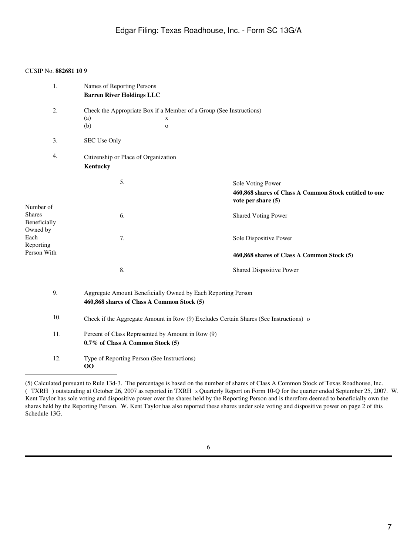| 1.                                                                          | Names of Reporting Persons<br><b>Barren River Holdings LLC</b>                                                  |                                                                                                   |  |
|-----------------------------------------------------------------------------|-----------------------------------------------------------------------------------------------------------------|---------------------------------------------------------------------------------------------------|--|
| 2.                                                                          | Check the Appropriate Box if a Member of a Group (See Instructions)<br>(a)<br>$\mathbf X$<br>(b)<br>$\mathbf 0$ |                                                                                                   |  |
| 3.                                                                          | SEC Use Only                                                                                                    |                                                                                                   |  |
| 4.                                                                          | Citizenship or Place of Organization<br>Kentucky                                                                |                                                                                                   |  |
| Number of<br><b>Shares</b><br>Beneficially<br>Owned by<br>Each<br>Reporting | 5.                                                                                                              | Sole Voting Power<br>460,868 shares of Class A Common Stock entitled to one<br>vote per share (5) |  |
|                                                                             | 6.                                                                                                              | <b>Shared Voting Power</b>                                                                        |  |
|                                                                             | 7.                                                                                                              | Sole Dispositive Power                                                                            |  |
| Person With                                                                 |                                                                                                                 | 460,868 shares of Class A Common Stock (5)                                                        |  |
|                                                                             | 8.                                                                                                              | Shared Dispositive Power                                                                          |  |
| 9.                                                                          | Aggregate Amount Beneficially Owned by Each Reporting Person<br>460,868 shares of Class A Common Stock (5)      |                                                                                                   |  |
| 10.                                                                         | Check if the Aggregate Amount in Row (9) Excludes Certain Shares (See Instructions) o                           |                                                                                                   |  |
| 11.                                                                         | Percent of Class Represented by Amount in Row (9)<br>0.7% of Class A Common Stock (5)                           |                                                                                                   |  |
| 12.                                                                         | Type of Reporting Person (See Instructions)<br>$\bf{OO}$                                                        |                                                                                                   |  |

<sup>(5)</sup> Calculated pursuant to Rule 13d-3. The percentage is based on the number of shares of Class A Common Stock of Texas Roadhouse, Inc. (TXRH) outstanding at October 26, 2007 as reported in TXRH s Quarterly Report on Form 10-Q for the quarter ended September 25, 2007. W. Kent Taylor has sole voting and dispositive power over the shares held by the Reporting Person and is therefore deemed to beneficially own the shares held by the Reporting Person. W. Kent Taylor has also reported these shares under sole voting and dispositive power on page 2 of this Schedule 13G.

<sup>6</sup>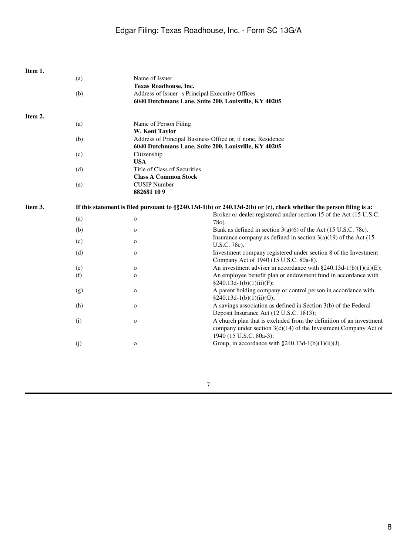| Item 1. |     |                                                             |                                                                                                                        |
|---------|-----|-------------------------------------------------------------|------------------------------------------------------------------------------------------------------------------------|
|         | (a) | Name of Issuer                                              |                                                                                                                        |
|         |     | <b>Texas Roadhouse, Inc.</b>                                |                                                                                                                        |
|         | (b) |                                                             | Address of Issuer s Principal Executive Offices<br>6040 Dutchmans Lane, Suite 200, Louisville, KY 40205                |
|         |     |                                                             |                                                                                                                        |
| Item 2. |     |                                                             |                                                                                                                        |
|         | (a) | Name of Person Filing                                       |                                                                                                                        |
|         |     | W. Kent Taylor                                              |                                                                                                                        |
|         | (b) | Address of Principal Business Office or, if none, Residence |                                                                                                                        |
|         |     | 6040 Dutchmans Lane, Suite 200, Louisville, KY 40205        |                                                                                                                        |
|         | (c) | Citizenship                                                 |                                                                                                                        |
|         |     | <b>USA</b>                                                  |                                                                                                                        |
|         | (d) | Title of Class of Securities                                |                                                                                                                        |
|         |     | <b>Class A Common Stock</b>                                 |                                                                                                                        |
|         | (e) | <b>CUSIP</b> Number                                         |                                                                                                                        |
|         |     | 882681 109                                                  |                                                                                                                        |
| Item 3. |     |                                                             | If this statement is filed pursuant to $\S$ 240.13d-1(b) or 240.13d-2(b) or (c), check whether the person filing is a: |
|         | (a) | $\mathbf O$                                                 | Broker or dealer registered under section 15 of the Act (15 U.S.C.<br>78o).                                            |
|         | (b) | $\mathbf{o}$                                                | Bank as defined in section $3(a)(6)$ of the Act (15 U.S.C. 78c).                                                       |
|         | (c) | $\mathbf O$                                                 | Insurance company as defined in section $3(a)(19)$ of the Act (15<br>U.S.C. 78c).                                      |
|         | (d) | $\mathbf O$                                                 | Investment company registered under section 8 of the Investment                                                        |
|         |     |                                                             | Company Act of 1940 (15 U.S.C. 80a-8).                                                                                 |
|         | (e) | $\mathbf{o}$                                                | An investment adviser in accordance with $\S 240.13d-1(b)(1)(ii)(E)$ ;                                                 |
|         | (f) | $\mathbf O$                                                 | An employee benefit plan or endowment fund in accordance with                                                          |
|         |     |                                                             | $§240.13d-1(b)(1)(ii)(F);$                                                                                             |
|         | (g) | $\mathbf O$                                                 | A parent holding company or control person in accordance with                                                          |
|         |     |                                                             | $§240.13d-1(b)(1)(ii)(G);$                                                                                             |
|         | (h) | $\mathbf{o}$                                                | A savings association as defined in Section 3(b) of the Federal<br>Deposit Insurance Act (12 U.S.C. 1813);             |
|         | (i) | o                                                           | A church plan that is excluded from the definition of an investment                                                    |
|         |     |                                                             | company under section $3(c)(14)$ of the Investment Company Act of                                                      |
|         |     |                                                             | 1940 (15 U.S.C. 80a-3);                                                                                                |
|         | (j) | $\mathbf O$                                                 | Group, in accordance with $\S 240.13d-1(b)(1)(ii)(J)$ .                                                                |
|         |     |                                                             |                                                                                                                        |

7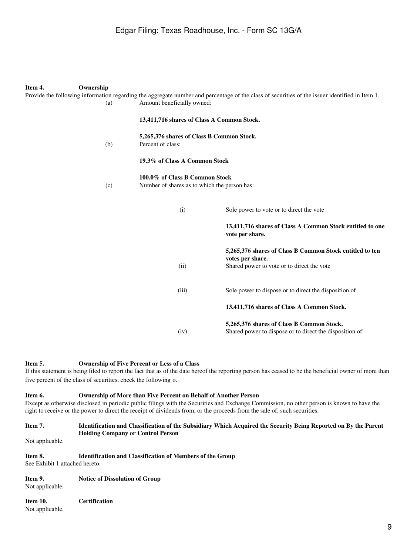| Item 4.<br>Ownership |                                                                                                                                                                                                                                 | Provide the following information regarding the aggregate number and percentage of the class of securities of the issuer identified in Item 1.         |  |
|----------------------|---------------------------------------------------------------------------------------------------------------------------------------------------------------------------------------------------------------------------------|--------------------------------------------------------------------------------------------------------------------------------------------------------|--|
| (a)                  | Amount beneficially owned:                                                                                                                                                                                                      |                                                                                                                                                        |  |
|                      | 13,411,716 shares of Class A Common Stock.<br>5,265,376 shares of Class B Common Stock.<br>Percent of class:<br>19.3% of Class A Common Stock<br>100.0% of Class B Common Stock<br>Number of shares as to which the person has: |                                                                                                                                                        |  |
| (b)                  |                                                                                                                                                                                                                                 |                                                                                                                                                        |  |
|                      |                                                                                                                                                                                                                                 |                                                                                                                                                        |  |
| (c)                  |                                                                                                                                                                                                                                 |                                                                                                                                                        |  |
|                      | (i)                                                                                                                                                                                                                             | Sole power to vote or to direct the vote                                                                                                               |  |
|                      |                                                                                                                                                                                                                                 | 13,411,716 shares of Class A Common Stock entitled to one<br>vote per share.                                                                           |  |
|                      |                                                                                                                                                                                                                                 | 5,265,376 shares of Class B Common Stock entitled to ten<br>votes per share.                                                                           |  |
|                      | (ii)                                                                                                                                                                                                                            | Shared power to vote or to direct the vote                                                                                                             |  |
|                      | (iii)                                                                                                                                                                                                                           | Sole power to dispose or to direct the disposition of                                                                                                  |  |
|                      |                                                                                                                                                                                                                                 | 13,411,716 shares of Class A Common Stock.                                                                                                             |  |
|                      |                                                                                                                                                                                                                                 | 5,265,376 shares of Class B Common Stock.                                                                                                              |  |
|                      | (iv)                                                                                                                                                                                                                            | Shared power to dispose or to direct the disposition of                                                                                                |  |
|                      |                                                                                                                                                                                                                                 |                                                                                                                                                        |  |
| Item 5.              | <b>Ownership of Five Percent or Less of a Class</b>                                                                                                                                                                             | If this statement is being filed to report the fact that as of the date hereof the reporting person has ceased to be the beneficial owner of more than |  |

five percent of the class of securities, check the following o.

#### **Item 6. Ownership of More than Five Percent on Behalf of Another Person** Except as otherwise disclosed in periodic public filings with the Securities and Exchange Commission, no other person is known to have the right to receive or the power to direct the receipt of dividends from, or the proceeds from the sale of, such securities.

### **Item 7. Identification and Classification of the Subsidiary Which Acquired the Security Being Reported on By the Parent Holding Company or Control Person**

Not applicable.

#### **Item 8. Identification and Classification of Members of the Group** See Exhibit 1 attached hereto.

**Item 9. Notice of Dissolution of Group** Not applicable.

| Item 10.        | <b>Certification</b> |
|-----------------|----------------------|
| Not applicable. |                      |